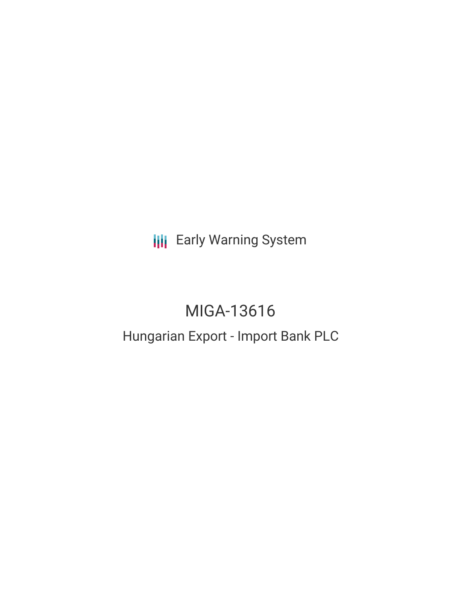**III** Early Warning System

# MIGA-13616

# Hungarian Export - Import Bank PLC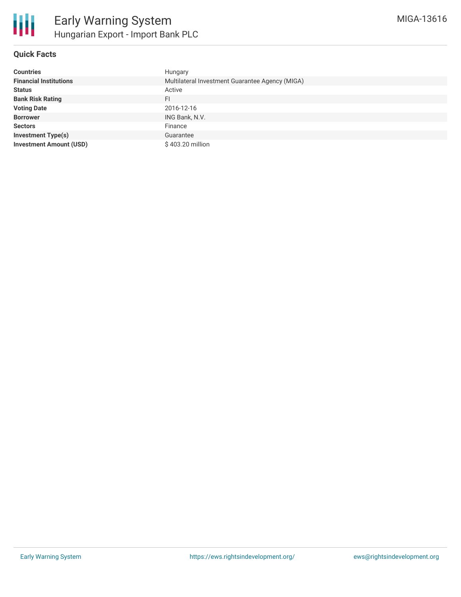

# **Quick Facts**

| <b>Countries</b>               | Hungary                                         |
|--------------------------------|-------------------------------------------------|
| <b>Financial Institutions</b>  | Multilateral Investment Guarantee Agency (MIGA) |
| <b>Status</b>                  | Active                                          |
| <b>Bank Risk Rating</b>        | FI                                              |
| <b>Voting Date</b>             | 2016-12-16                                      |
| <b>Borrower</b>                | ING Bank, N.V.                                  |
| <b>Sectors</b>                 | Finance                                         |
| <b>Investment Type(s)</b>      | Guarantee                                       |
| <b>Investment Amount (USD)</b> | \$403.20 million                                |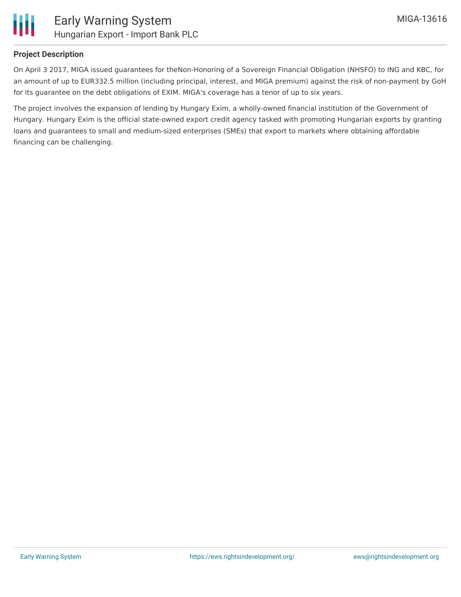

# **Project Description**

On April 3 2017, MIGA issued guarantees for theNon-Honoring of a Sovereign Financial Obligation (NHSFO) to ING and KBC, for an amount of up to EUR332.5 million (including principal, interest, and MIGA premium) against the risk of non-payment by GoH for its guarantee on the debt obligations of EXIM. MIGA's coverage has a tenor of up to six years.

The project involves the expansion of lending by Hungary Exim, a wholly-owned financial institution of the Government of Hungary. Hungary Exim is the official state-owned export credit agency tasked with promoting Hungarian exports by granting loans and guarantees to small and medium-sized enterprises (SMEs) that export to markets where obtaining affordable financing can be challenging.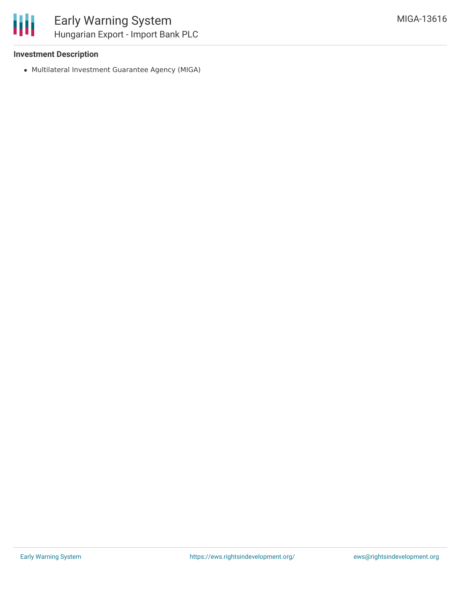### **Investment Description**

Multilateral Investment Guarantee Agency (MIGA)